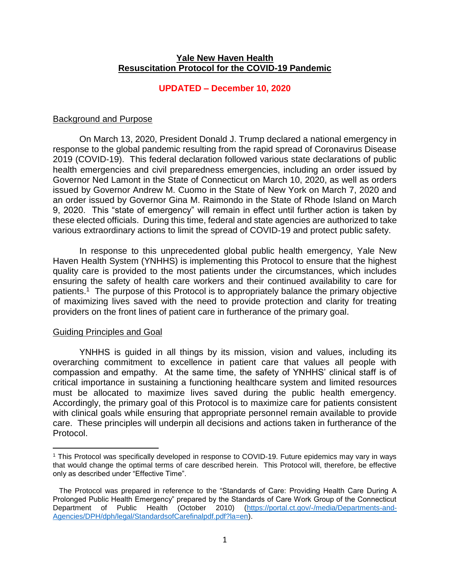## **Yale New Haven Health Resuscitation Protocol for the COVID-19 Pandemic**

## **UPDATED – December 10, 2020**

## Background and Purpose

On March 13, 2020, President Donald J. Trump declared a national emergency in response to the global pandemic resulting from the rapid spread of Coronavirus Disease 2019 (COVID-19). This federal declaration followed various state declarations of public health emergencies and civil preparedness emergencies, including an order issued by Governor Ned Lamont in the State of Connecticut on March 10, 2020, as well as orders issued by Governor Andrew M. Cuomo in the State of New York on March 7, 2020 and an order issued by Governor Gina M. Raimondo in the State of Rhode Island on March 9, 2020. This "state of emergency" will remain in effect until further action is taken by these elected officials. During this time, federal and state agencies are authorized to take various extraordinary actions to limit the spread of COVID-19 and protect public safety.

In response to this unprecedented global public health emergency, Yale New Haven Health System (YNHHS) is implementing this Protocol to ensure that the highest quality care is provided to the most patients under the circumstances, which includes ensuring the safety of health care workers and their continued availability to care for patients.<sup>1</sup> The purpose of this Protocol is to appropriately balance the primary objective of maximizing lives saved with the need to provide protection and clarity for treating providers on the front lines of patient care in furtherance of the primary goal.

#### Guiding Principles and Goal

 $\overline{a}$ 

YNHHS is guided in all things by its mission, vision and values, including its overarching commitment to excellence in patient care that values all people with compassion and empathy. At the same time, the safety of YNHHS' clinical staff is of critical importance in sustaining a functioning healthcare system and limited resources must be allocated to maximize lives saved during the public health emergency. Accordingly, the primary goal of this Protocol is to maximize care for patients consistent with clinical goals while ensuring that appropriate personnel remain available to provide care. These principles will underpin all decisions and actions taken in furtherance of the Protocol.

<sup>1</sup> This Protocol was specifically developed in response to COVID-19. Future epidemics may vary in ways that would change the optimal terms of care described herein. This Protocol will, therefore, be effective only as described under "Effective Time".

The Protocol was prepared in reference to the "Standards of Care: Providing Health Care During A Prolonged Public Health Emergency" prepared by the Standards of Care Work Group of the Connecticut Department of Public Health (October 2010) [\(https://portal.ct.gov/-/media/Departments-and-](https://portal.ct.gov/-/media/Departments-and-Agencies/DPH/dph/legal/StandardsofCarefinalpdf.pdf?la=en)[Agencies/DPH/dph/legal/StandardsofCarefinalpdf.pdf?la=en\)](https://portal.ct.gov/-/media/Departments-and-Agencies/DPH/dph/legal/StandardsofCarefinalpdf.pdf?la=en)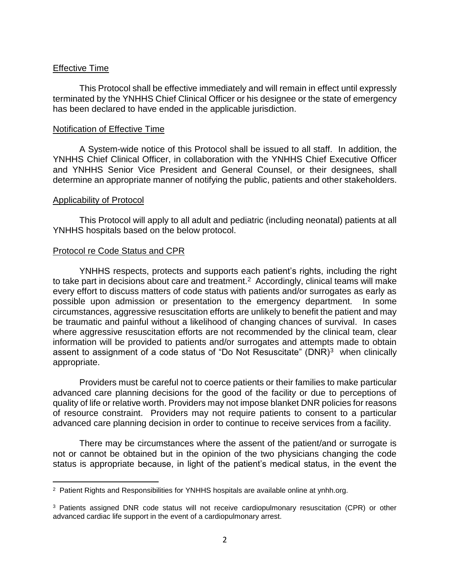## Effective Time

This Protocol shall be effective immediately and will remain in effect until expressly terminated by the YNHHS Chief Clinical Officer or his designee or the state of emergency has been declared to have ended in the applicable jurisdiction.

## Notification of Effective Time

A System-wide notice of this Protocol shall be issued to all staff.In addition, the YNHHS Chief Clinical Officer, in collaboration with the YNHHS Chief Executive Officer and YNHHS Senior Vice President and General Counsel, or their designees, shall determine an appropriate manner of notifying the public, patients and other stakeholders.

### Applicability of Protocol

 $\overline{a}$ 

This Protocol will apply to all adult and pediatric (including neonatal) patients at all YNHHS hospitals based on the below protocol.

## Protocol re Code Status and CPR

YNHHS respects, protects and supports each patient's rights, including the right to take part in decisions about care and treatment.<sup>2</sup> Accordingly, clinical teams will make every effort to discuss matters of code status with patients and/or surrogates as early as possible upon admission or presentation to the emergency department. In some circumstances, aggressive resuscitation efforts are unlikely to benefit the patient and may be traumatic and painful without a likelihood of changing chances of survival. In cases where aggressive resuscitation efforts are not recommended by the clinical team, clear information will be provided to patients and/or surrogates and attempts made to obtain assent to assignment of a code status of "Do Not Resuscitate" (DNR)<sup>3</sup> when clinically appropriate.

Providers must be careful not to coerce patients or their families to make particular advanced care planning decisions for the good of the facility or due to perceptions of quality of life or relative worth. Providers may not impose blanket DNR policies for reasons of resource constraint. Providers may not require patients to consent to a particular advanced care planning decision in order to continue to receive services from a facility.

There may be circumstances where the assent of the patient/and or surrogate is not or cannot be obtained but in the opinion of the two physicians changing the code status is appropriate because, in light of the patient's medical status, in the event the

<sup>&</sup>lt;sup>2</sup> Patient Rights and Responsibilities for YNHHS hospitals are available online at ynhh.org.

<sup>&</sup>lt;sup>3</sup> Patients assigned DNR code status will not receive cardiopulmonary resuscitation (CPR) or other advanced cardiac life support in the event of a cardiopulmonary arrest.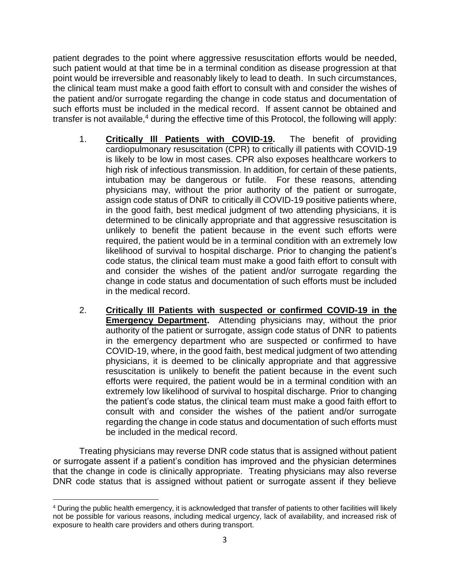patient degrades to the point where aggressive resuscitation efforts would be needed, such patient would at that time be in a terminal condition as disease progression at that point would be irreversible and reasonably likely to lead to death. In such circumstances, the clinical team must make a good faith effort to consult with and consider the wishes of the patient and/or surrogate regarding the change in code status and documentation of such efforts must be included in the medical record. If assent cannot be obtained and transfer is not available, $4$  during the effective time of this Protocol, the following will apply:

- 1. **Critically Ill Patients with COVID-19.** The benefit of providing cardiopulmonary resuscitation (CPR) to critically ill patients with COVID-19 is likely to be low in most cases. CPR also exposes healthcare workers to high risk of infectious transmission. In addition, for certain of these patients, intubation may be dangerous or futile. For these reasons, attending physicians may, without the prior authority of the patient or surrogate, assign code status of DNR to critically ill COVID-19 positive patients where, in the good faith, best medical judgment of two attending physicians, it is determined to be clinically appropriate and that aggressive resuscitation is unlikely to benefit the patient because in the event such efforts were required, the patient would be in a terminal condition with an extremely low likelihood of survival to hospital discharge. Prior to changing the patient's code status, the clinical team must make a good faith effort to consult with and consider the wishes of the patient and/or surrogate regarding the change in code status and documentation of such efforts must be included in the medical record.
- 2. **Critically Ill Patients with suspected or confirmed COVID-19 in the Emergency Department.** Attending physicians may, without the prior authority of the patient or surrogate, assign code status of DNR to patients in the emergency department who are suspected or confirmed to have COVID-19, where, in the good faith, best medical judgment of two attending physicians, it is deemed to be clinically appropriate and that aggressive resuscitation is unlikely to benefit the patient because in the event such efforts were required, the patient would be in a terminal condition with an extremely low likelihood of survival to hospital discharge. Prior to changing the patient's code status, the clinical team must make a good faith effort to consult with and consider the wishes of the patient and/or surrogate regarding the change in code status and documentation of such efforts must be included in the medical record.

Treating physicians may reverse DNR code status that is assigned without patient or surrogate assent if a patient's condition has improved and the physician determines that the change in code is clinically appropriate. Treating physicians may also reverse DNR code status that is assigned without patient or surrogate assent if they believe

 $\overline{a}$ <sup>4</sup> During the public health emergency, it is acknowledged that transfer of patients to other facilities will likely not be possible for various reasons, including medical urgency, lack of availability, and increased risk of exposure to health care providers and others during transport.